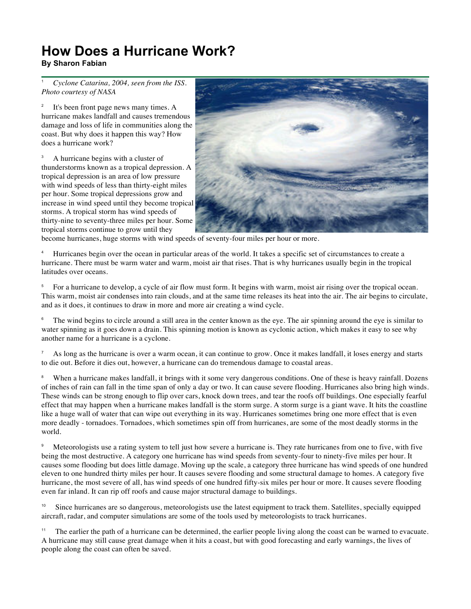## **How Does a Hurricane Work?**

## **By Sharon Fabian**

<sup>1</sup> *Cyclone Catarina, 2004, seen from the ISS. Photo courtesy of NASA* 

<sup>2</sup> It's been front page news many times. A hurricane makes landfall and causes tremendous damage and loss of life in communities along the coast. But why does it happen this way? How does a hurricane work?

<sup>3</sup> A hurricane begins with a cluster of thunderstorms known as a tropical depression. A tropical depression is an area of low pressure with wind speeds of less than thirty-eight miles per hour. Some tropical depressions grow and increase in wind speed until they become tropical storms. A tropical storm has wind speeds of thirty-nine to seventy-three miles per hour. Some tropical storms continue to grow until they



become hurricanes, huge storms with wind speeds of seventy-four miles per hour or more.

<sup>4</sup> Hurricanes begin over the ocean in particular areas of the world. It takes a specific set of circumstances to create a hurricane. There must be warm water and warm, moist air that rises. That is why hurricanes usually begin in the tropical latitudes over oceans.

<sup>5</sup> For a hurricane to develop, a cycle of air flow must form. It begins with warm, moist air rising over the tropical ocean. This warm, moist air condenses into rain clouds, and at the same time releases its heat into the air. The air begins to circulate, and as it does, it continues to draw in more and more air creating a wind cycle.

The wind begins to circle around a still area in the center known as the eye. The air spinning around the eye is similar to water spinning as it goes down a drain. This spinning motion is known as cyclonic action, which makes it easy to see why another name for a hurricane is a cyclone.

As long as the hurricane is over a warm ocean, it can continue to grow. Once it makes landfall, it loses energy and starts to die out. Before it dies out, however, a hurricane can do tremendous damage to coastal areas.

<sup>8</sup> When a hurricane makes landfall, it brings with it some very dangerous conditions. One of these is heavy rainfall. Dozens of inches of rain can fall in the time span of only a day or two. It can cause severe flooding. Hurricanes also bring high winds. These winds can be strong enough to flip over cars, knock down trees, and tear the roofs off buildings. One especially fearful effect that may happen when a hurricane makes landfall is the storm surge. A storm surge is a giant wave. It hits the coastline like a huge wall of water that can wipe out everything in its way. Hurricanes sometimes bring one more effect that is even more deadly - tornadoes. Tornadoes, which sometimes spin off from hurricanes, are some of the most deadly storms in the world.

<sup>9</sup> Meteorologists use a rating system to tell just how severe a hurricane is. They rate hurricanes from one to five, with five being the most destructive. A category one hurricane has wind speeds from seventy-four to ninety-five miles per hour. It causes some flooding but does little damage. Moving up the scale, a category three hurricane has wind speeds of one hundred eleven to one hundred thirty miles per hour. It causes severe flooding and some structural damage to homes. A category five hurricane, the most severe of all, has wind speeds of one hundred fifty-six miles per hour or more. It causes severe flooding even far inland. It can rip off roofs and cause major structural damage to buildings.

<sup>10</sup> Since hurricanes are so dangerous, meteorologists use the latest equipment to track them. Satellites, specially equipped aircraft, radar, and computer simulations are some of the tools used by meteorologists to track hurricanes.

<sup>11</sup> The earlier the path of a hurricane can be determined, the earlier people living along the coast can be warned to evacuate. A hurricane may still cause great damage when it hits a coast, but with good forecasting and early warnings, the lives of people along the coast can often be saved.